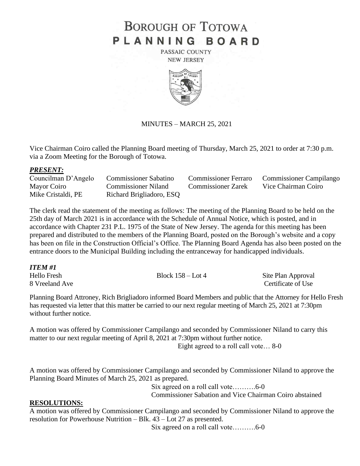# **BOROUGH OF TOTOWA** PLANNING BOARD

PASSAIC COUNTY **NEW JERSEY** 



# MINUTES – MARCH 25, 2021

Vice Chairman Coiro called the Planning Board meeting of Thursday, March 25, 2021 to order at 7:30 p.m. via a Zoom Meeting for the Borough of Totowa.

### *PRESENT:*

| Councilman D'Angelo | <b>Commissioner Sabatino</b> | <b>Commissioner Ferraro</b> | <b>Commissioner Campilango</b> |
|---------------------|------------------------------|-----------------------------|--------------------------------|
| Mayor Coiro         | <b>Commissioner Niland</b>   | <b>Commissioner Zarek</b>   | Vice Chairman Coiro            |
| Mike Cristaldi, PE  | Richard Brigliadoro, ESQ     |                             |                                |

The clerk read the statement of the meeting as follows: The meeting of the Planning Board to be held on the 25th day of March 2021 is in accordance with the Schedule of Annual Notice, which is posted, and in accordance with Chapter 231 P.L. 1975 of the State of New Jersey. The agenda for this meeting has been prepared and distributed to the members of the Planning Board, posted on the Borough's website and a copy has been on file in the Construction Official's Office. The Planning Board Agenda has also been posted on the entrance doors to the Municipal Building including the entranceway for handicapped individuals.

| ITEM #1        |                     |                    |
|----------------|---------------------|--------------------|
| Hello Fresh    | Block $158 -$ Lot 4 | Site Plan Approval |
| 8 Vreeland Ave |                     | Certificate of Use |

Planning Board Attroney, Rich Brigliadoro informed Board Members and public that the Attorney for Hello Fresh has requested via letter that this matter be carried to our next regular meeting of March 25, 2021 at 7:30pm without further notice.

A motion was offered by Commissioner Campilango and seconded by Commissioner Niland to carry this matter to our next regular meeting of April 8, 2021 at 7:30pm without further notice. Eight agreed to a roll call vote… 8-0

A motion was offered by Commissioner Campilango and seconded by Commissioner Niland to approve the Planning Board Minutes of March 25, 2021 as prepared.

Six agreed on a roll call vote……….6-0 Commissioner Sabation and Vice Chairman Coiro abstained

### **RESOLUTIONS:**

A motion was offered by Commissioner Campilango and seconded by Commissioner Niland to approve the resolution for Powerhouse Nutrition – Blk. 43 – Lot 27 as presented.

Six agreed on a roll call vote……….6-0